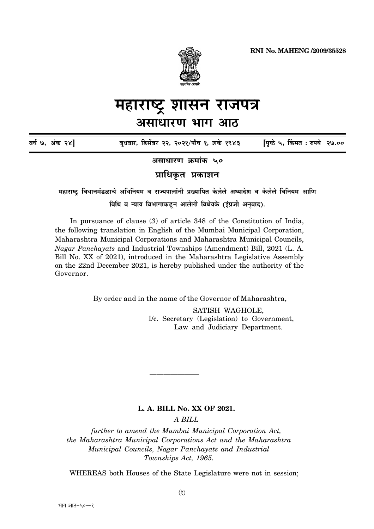

# महाराष्ट्र शासन राजपत्र असाधारण भाग आठ

| वर्ष ७, अंक २४] | बुधवार, डिसेंबर २२, २०२१/पौष १, शके १९४३ | [पृष्ठे ५, किंमत : रुपये २७.०० |  |
|-----------------|------------------------------------------|--------------------------------|--|
|                 |                                          |                                |  |

असाधारण क्रमांक ५०

प्राधिकृत प्रकाशन

महाराष्ट्र विधानमंडळाचे अधिनियम व राज्यपालांनी प्रख्यापित केलेले अध्यादेश व केलेले विनियम आणि विधि व न्याय विभागाकडून आलेली विधेयके (इंग्रजी अनुवाद).

In pursuance of clause  $(3)$  of article 348 of the Constitution of India, the following translation in English of the Mumbai Municipal Corporation, Maharashtra Municipal Corporations and Maharashtra Municipal Councils, *Nagar Panchavats* and Industrial Townships (Amendment) Bill, 2021 (L. A. Bill No. XX of 2021), introduced in the Maharashtra Legislative Assembly on the 22nd December 2021, is hereby published under the authority of the Governor.

By order and in the name of the Governor of Maharashtra,

SATISH WAGHOLE. I/c. Secretary (Legislation) to Government, Law and Judiciary Department.

## L. A. BILL No. XX OF 2021.

A BILL

further to amend the Mumbai Municipal Corporation Act, the Maharashtra Municipal Corporations Act and the Maharashtra Municipal Councils, Nagar Panchayats and Industrial Townships Act, 1965.

WHEREAS both Houses of the State Legislature were not in session;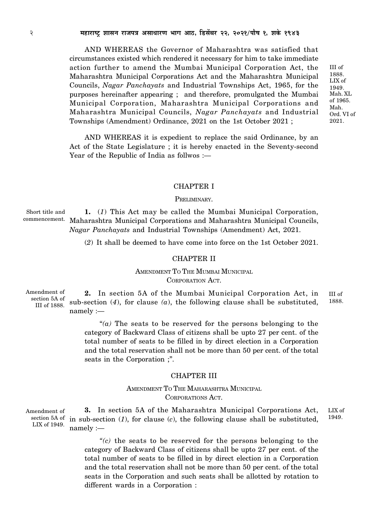AND WHEREAS the Governor of Maharashtra was satisfied that circumstances existed which rendered it necessary for him to take immediate action further to amend the Mumbai Municipal Corporation Act, the Maharashtra Municipal Corporations Act and the Maharashtra Municipal Councils, Nagar Panchayats and Industrial Townships Act, 1965, for the purposes hereinafter appearing; and therefore, promulgated the Mumbai Municipal Corporation, Maharashtra Municipal Corporations and Maharashtra Municipal Councils, Nagar Panchayats and Industrial Townships (Amendment) Ordinance, 2021 on the 1st October 2021;

AND WHEREAS it is expedient to replace the said Ordinance, by an Act of the State Legislature ; it is hereby enacted in the Seventy-second Year of the Republic of India as follwos :-

#### **CHAPTER I**

#### PRELIMINARY.

Short title and 1. (1) This Act may be called the Mumbai Municipal Corporation, commencement. Maharashtra Municipal Corporations and Maharashtra Municipal Councils, *Nagar Panchayats* and Industrial Townships (Amendment) Act, 2021.

(2) It shall be deemed to have come into force on the 1st October 2021.

#### **CHAPTER II**

## AMENDMENT TO THE MUMBAI MUNICIPAL CORPORATION ACT.

Amendment of section 5A of III of 1888.

2. In section 5A of the Mumbai Municipal Corporation Act, in III of 1888 sub-section  $(4)$ , for clause  $(a)$ , the following clause shall be substituted,  $namely:$ 

> "(a) The seats to be reserved for the persons belonging to the category of Backward Class of citizens shall be upto 27 per cent. of the total number of seats to be filled in by direct election in a Corporation and the total reservation shall not be more than 50 per cent. of the total seats in the Corporation ;".

#### **CHAPTER III**

## AMENDMENT TO THE MAHARASHTRA MUNICIPAL CORPORATIONS ACT.

3. In section 5A of the Maharashtra Municipal Corporations Act, LIX of Amendment of section 5A of in sub-section  $(1)$ , for clause  $(c)$ , the following clause shall be substituted, 1949 LIX of 1949.  $namely :=$ 

> "(c) the seats to be reserved for the persons belonging to the category of Backward Class of citizens shall be upto 27 per cent. of the total number of seats to be filled in by direct election in a Corporation and the total reservation shall not be more than 50 per cent. of the total seats in the Corporation and such seats shall be allotted by rotation to different wards in a Corporation :

III of 1888. LIX of 1949. Mah. XL of 1965. Mah. Ord. VI of 2021.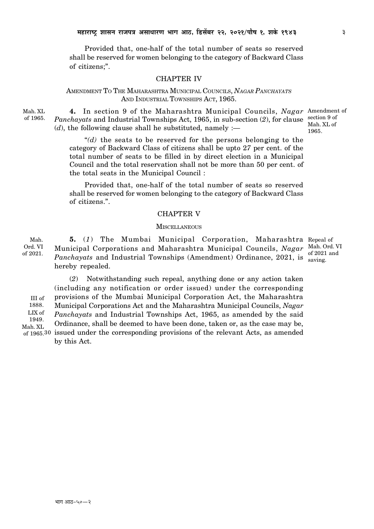Provided that, one-half of the total number of seats so reserved shall be reserved for women belonging to the category of Backward Class of citizens:".

## **CHAPTER IV**

## AMENDMENT TO THE MAHARASHTRA MUNICIPAL COUNCILS, NAGAR PANCHAYATS AND INDUSTRIAL TOWNSHIPS ACT, 1965.

Mah. XL of 1965.

4. In section 9 of the Maharashtra Municipal Councils, Nagar Amendment of *Panchayats* and Industrial Townships Act, 1965, in sub-section (2), for clause section 9 of Mah. XL of (d), the following clause shall be substituted, namely :— 1965.

"(d) the seats to be reserved for the persons belonging to the category of Backward Class of citizens shall be upto 27 per cent. of the total number of seats to be filled in by direct election in a Municipal Council and the total reservation shall not be more than 50 per cent. of the total seats in the Municipal Council:

Provided that, one-half of the total number of seats so reserved shall be reserved for women belonging to the category of Backward Class of citizens.".

### **CHAPTER V**

#### **MISCELLANEOUS**

Mah. 5. (1) The Mumbai Municipal Corporation, Maharashtra Repeal of Ord. VI Municipal Corporations and Maharashtra Municipal Councils, Nagar Mah. Ord. VI *Panchayats* and Industrial Townships (Amendment) Ordinance, 2021, is saving. of 2021. hereby repealed.

(2) Notwithstanding such repeal, anything done or any action taken (including any notification or order issued) under the corresponding provisions of the Mumbai Municipal Corporation Act, the Maharashtra III of 1888. Municipal Corporations Act and the Maharashtra Municipal Councils, Nagar LIX of *Panchayats* and Industrial Townships Act, 1965, as amended by the said 1949. Ordinance, shall be deemed to have been done, taken or, as the case may be, Mah. XL of 1965.30 issued under the corresponding provisions of the relevant Acts, as amended by this Act.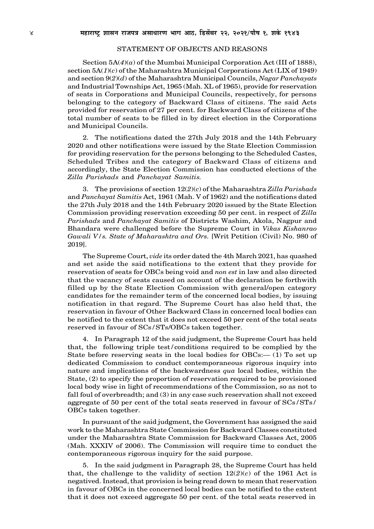#### STATEMENT OF OBJECTS AND REASONS

Section 5A(*4*)(*a*) of the Mumbai Municipal Corporation Act (III of 1888), section 5A(*1*)(*c*) of the Maharashtra Municipal Corporations Act (LIX of 1949) and section 9(*2*)(*d*) of the Maharashtra Municipal Councils, *Nagar Panchayats* and Industrial Townships Act, 1965 (Mah. XL of 1965), provide for reservation of seats in Corporations and Municipal Councils, respectively, for persons belonging to the category of Backward Class of citizens. The said Acts provided for reservation of 27 per cent. for Backward Class of citizens of the total number of seats to be filled in by direct election in the Corporations and Municipal Councils.

2. The notifications dated the 27th July 2018 and the 14th February 2020 and other notifications were issued by the State Election Commission for providing reservation for the persons belonging to the Scheduled Castes, Scheduled Tribes and the category of Backward Class of citizens and accordingly, the State Election Commission has conducted elections of the *Zilla Parishads* and *Panchayat Samitis.*

3. The provisions of section 12(*2*)(*c*) of the Maharashtra *Zilla Parishads* and *Panchayat Samitis* Act, 1961 (Mah. V of 1962) and the notifications dated the 2*7*th July 2018 and the 14th February 2020 issued by the State Election Commission providing reservation exceeding 50 per cent. in respect of *Zilla Parishads* and *Panchayat Samitis* of Districts Washim, Akola, Nagpur and Bhandara were challenged before the Supreme Court in *Vikas Kishanrao Gawali V/s. State of Maharashtra and Ors.* [Writ Petition (Civil) No. 980 of 2019].

The Supreme Court, *vide* its order dated the 4th March 2021, has quashed and set aside the said notifications to the extent that they provide for reservation of seats for OBCs being void and *non est* in law and also directed that the vacancy of seats caused on account of the declaration be forthwith filled up by the State Election Commission with general/open category candidates for the remainder term of the concerned local bodies, by issuing notification in that regard. The Supreme Court has also held that, the reservation in favour of Other Backward Class in concerned local bodies can be notified to the extent that it does not exceed 50 per cent of the total seats reserved in favour of SCs*/*STs/OBCs taken together.

4. In Paragraph 12 of the said judgment, the Supreme Court has held that, the following triple test*/*conditions required to be complied by the State before reserving seats in the local bodies for  $OBCs$ :— (1) To set up dedicated Commission to conduct contemporaneous rigorous inquiry into nature and implications of the backwardness *qua* local bodies, within the State, (2) to specify the proportion of reservation required to be provisioned local body wise in light of recommendations of the Commission, so as not to fall foul of overbreadth; and (3) in any case such reservation shall not exceed aggregate of 50 per cent of the total seats reserved in favour of SCs*/*STs*/* OBCs taken together.

In pursuant of the said judgment, the Government has assigned the said work to the Maharashtra State Commission for Backward Classes constituted under the Maharashtra State Commission for Backward Classes Act, 2005 (Mah. XXXIV of 2006). The Commission will require time to conduct the contemporaneous rigorous inquiry for the said purpose.

5. In the said judgment in Paragraph 28, the Supreme Court has held that, the challenge to the validity of section  $12(2)(c)$  of the 1961 Act is negatived. Instead, that provision is being read down to mean that reservation in favour of OBCs in the concerned local bodies can be notified to the extent that it does not exceed aggregate 50 per cent. of the total seats reserved in